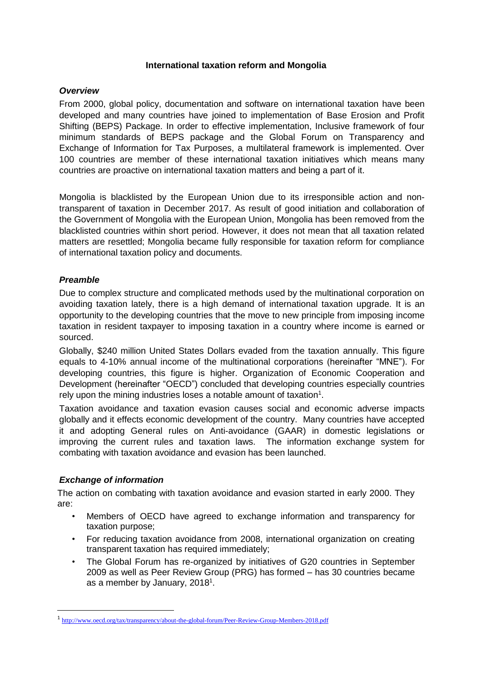### **International taxation reform and Mongolia**

## *Overview*

From 2000, global policy, documentation and software on international taxation have been developed and many countries have joined to implementation of Base Erosion and Profit Shifting (BEPS) Package. In order to effective implementation, Inclusive framework of four minimum standards of BEPS package and the Global Forum on Transparency and Exchange of Information for Tax Purposes, a multilateral framework is implemented. Over 100 countries are member of these international taxation initiatives which means many countries are proactive on international taxation matters and being a part of it.

Mongolia is blacklisted by the European Union due to its irresponsible action and nontransparent of taxation in December 2017. As result of good initiation and collaboration of the Government of Mongolia with the European Union, Mongolia has been removed from the blacklisted countries within short period. However, it does not mean that all taxation related matters are resettled; Mongolia became fully responsible for taxation reform for compliance of international taxation policy and documents.

# *Preamble*

Due to complex structure and complicated methods used by the multinational corporation on avoiding taxation lately, there is a high demand of international taxation upgrade. It is an opportunity to the developing countries that the move to new principle from imposing income taxation in resident taxpayer to imposing taxation in a country where income is earned or sourced.

Globally, \$240 million United States Dollars evaded from the taxation annually. This figure equals to 4-10% annual income of the multinational corporations (hereinafter "MNE"). For developing countries, this figure is higher. Organization of Economic Cooperation and Development (hereinafter "OECD") concluded that developing countries especially countries rely upon the mining industries loses a notable amount of taxation $1$ .

Taxation avoidance and taxation evasion causes social and economic adverse impacts globally and it effects economic development of the country. Many countries have accepted it and adopting General rules on Anti-avoidance (GAAR) in domestic legislations or improving the current rules and taxation laws. The information exchange system for combating with taxation avoidance and evasion has been launched.

# *Exchange of information*

 $\overline{\phantom{a}}$ 

The action on combating with taxation avoidance and evasion started in early 2000. They are:

- Members of OECD have agreed to exchange information and transparency for taxation purpose;
- For reducing taxation avoidance from 2008, international organization on creating transparent taxation has required immediately;
- The Global Forum has re-organized by initiatives of G20 countries in September 2009 as well as Peer Review Group (PRG) has formed – has 30 countries became as a member by January, 2018<sup>1</sup>.

<sup>&</sup>lt;sup>1</sup> <http://www.oecd.org/tax/transparency/about-the-global-forum/Peer-Review-Group-Members-2018.pdf>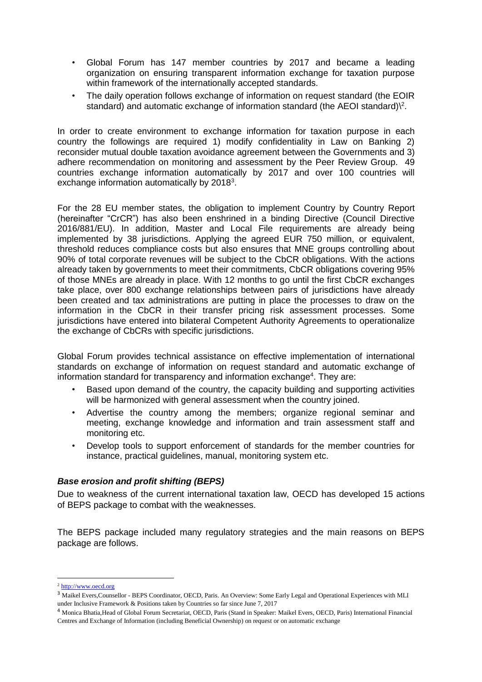- Global Forum has 147 member countries by 2017 and became a leading organization on ensuring transparent information exchange for taxation purpose within framework of the internationally accepted standards.
- The daily operation follows exchange of information on request standard (the EOIR standard) and automatic exchange of information standard (the AEOI standard) $\$ <sup>2</sup>.

In order to create environment to exchange information for taxation purpose in each country the followings are required 1) modify confidentiality in Law on Banking 2) reconsider mutual double taxation avoidance agreement between the Governments and 3) adhere recommendation on monitoring and assessment by the Peer Review Group. 49 countries exchange information automatically by 2017 and over 100 countries will exchange information automatically by 2018 $3$ .

For the 28 EU member states, the obligation to implement Country by Country Report (hereinafter "CrCR") has also been enshrined in a binding Directive (Council Directive 2016/881/EU). In addition, Master and Local File requirements are already being implemented by 38 jurisdictions. Applying the agreed EUR 750 million, or equivalent, threshold reduces compliance costs but also ensures that MNE groups controlling about 90% of total corporate revenues will be subject to the CbCR obligations. With the actions already taken by governments to meet their commitments, CbCR obligations covering 95% of those MNEs are already in place. With 12 months to go until the first CbCR exchanges take place, over 800 exchange relationships between pairs of jurisdictions have already been created and tax administrations are putting in place the processes to draw on the information in the CbCR in their transfer pricing risk assessment processes. Some jurisdictions have entered into bilateral Competent Authority Agreements to operationalize the exchange of CbCRs with specific jurisdictions.

Global Forum provides technical assistance on effective implementation of international standards on exchange of information on request standard and automatic exchange of information standard for transparency and information exchange<sup>4</sup>. They are:

- Based upon demand of the country, the capacity building and supporting activities will be harmonized with general assessment when the country joined.
- Advertise the country among the members; organize regional seminar and meeting, exchange knowledge and information and train assessment staff and monitoring etc.
- Develop tools to support enforcement of standards for the member countries for instance, practical guidelines, manual, monitoring system etc.

### *Base erosion and profit shifting (BEPS)*

Due to weakness of the current international taxation law, OECD has developed 15 actions of BEPS package to combat with the weaknesses.

The BEPS package included many regulatory strategies and the main reasons on BEPS package are follows.

 $\overline{\phantom{a}}$ 

<sup>2</sup> [http://www.oecd.org](http://www.oecd.org/)

<sup>&</sup>lt;sup>3</sup> Maikel Evers, Counsellor - BEPS Coordinator, OECD, Paris. An Overview: Some Early Legal and Operational Experiences with MLI under Inclusive Framework & Positions taken by Countries so far since June 7, 2017

<sup>4</sup> Monica Bhatia,Head of Global Forum Secretariat, OECD, Paris (Stand in Speaker: Maikel Evers, OECD, Paris) International Financial Centres and Exchange of Information (including Beneficial Ownership) on request or on automatic exchange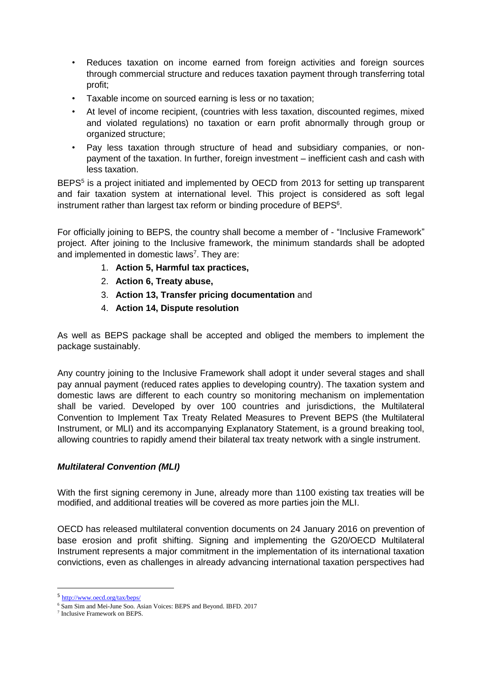- Reduces taxation on income earned from foreign activities and foreign sources through commercial structure and reduces taxation payment through transferring total profit;
- Taxable income on sourced earning is less or no taxation;
- At level of income recipient, (countries with less taxation, discounted regimes, mixed and violated regulations) no taxation or earn profit abnormally through group or organized structure;
- Pay less taxation through structure of head and subsidiary companies, or nonpayment of the taxation. In further, foreign investment – inefficient cash and cash with less taxation.

BEPS<sup>5</sup> is a project initiated and implemented by OECD from 2013 for setting up transparent and fair taxation system at international level. This project is considered as soft legal instrument rather than largest tax reform or binding procedure of BEPS<sup>6</sup>.

For officially joining to BEPS, the country shall become a member of - "Inclusive Framework" project. After joining to the Inclusive framework, the minimum standards shall be adopted and implemented in domestic laws<sup>7</sup>. They are:

- 1. **Action 5, Harmful tax practices,**
- 2. **Action 6, Treaty abuse,**
- 3. **Action 13, Transfer pricing documentation** and
- 4. **Action 14, Dispute resolution**

As well as BEPS package shall be accepted and obliged the members to implement the package sustainably.

Any country joining to the Inclusive Framework shall adopt it under several stages and shall pay annual payment (reduced rates applies to developing country). The taxation system and domestic laws are different to each country so monitoring mechanism on implementation shall be varied. Developed by over 100 countries and jurisdictions, the Multilateral Convention to Implement Tax Treaty Related Measures to Prevent BEPS (the Multilateral Instrument, or MLI) and its accompanying Explanatory Statement, is a ground breaking tool, allowing countries to rapidly amend their bilateral tax treaty network with a single instrument.

### *Multilateral Convention (MLI)*

With the first signing ceremony in June, already more than 1100 existing tax treaties will be modified, and additional treaties will be covered as more parties join the MLI.

OECD has released multilateral convention documents on 24 January 2016 on prevention of base erosion and profit shifting. Signing and implementing the G20/OECD Multilateral Instrument represents a major commitment in the implementation of its international taxation convictions, even as challenges in already advancing international taxation perspectives had

 $\overline{a}$ 

<sup>5</sup> <http://www.oecd.org/tax/beps/>

<sup>6</sup> Sam Sim and Mei-June Soo. Asian Voices: BEPS and Beyond. IBFD. 2017

<sup>7</sup> Inclusive Framework on BEPS.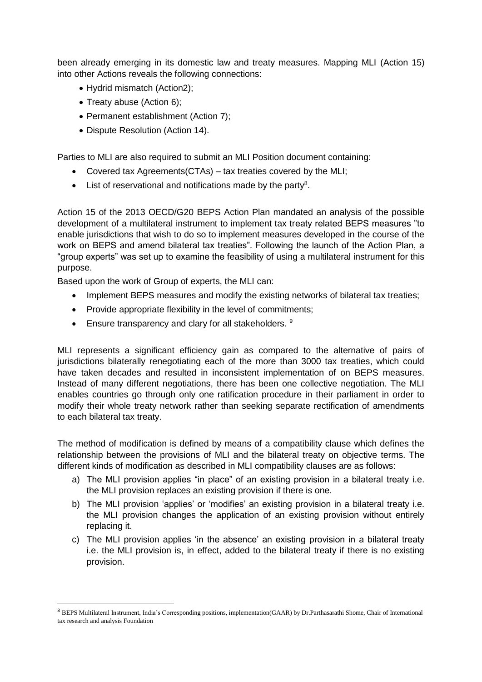been already emerging in its domestic law and treaty measures. Mapping MLI (Action 15) into other Actions reveals the following connections:

- Hydrid mismatch (Action2);
- Treaty abuse (Action 6);
- Permanent establishment (Action 7);
- Dispute Resolution (Action 14).

Parties to MLI are also required to submit an MLI Position document containing:

- Covered tax Agreements(CTAs) tax treaties covered by the MLI;
- $\bullet$  List of reservational and notifications made by the party<sup>8</sup>.

Action 15 of the 2013 OECD/G20 BEPS Action Plan mandated an analysis of the possible development of a multilateral instrument to implement tax treaty related BEPS measures "to enable jurisdictions that wish to do so to implement measures developed in the course of the work on BEPS and amend bilateral tax treaties". Following the launch of the Action Plan, a "group experts" was set up to examine the feasibility of using a multilateral instrument for this purpose.

Based upon the work of Group of experts, the MLI can:

 $\overline{\phantom{a}}$ 

- Implement BEPS measures and modify the existing networks of bilateral tax treaties;
- Provide appropriate flexibility in the level of commitments;
- Ensure transparency and clary for all stakeholders. 9

MLI represents a significant efficiency gain as compared to the alternative of pairs of jurisdictions bilaterally renegotiating each of the more than 3000 tax treaties, which could have taken decades and resulted in inconsistent implementation of on BEPS measures. Instead of many different negotiations, there has been one collective negotiation. The MLI enables countries go through only one ratification procedure in their parliament in order to modify their whole treaty network rather than seeking separate rectification of amendments to each bilateral tax treaty.

The method of modification is defined by means of a compatibility clause which defines the relationship between the provisions of MLI and the bilateral treaty on objective terms. The different kinds of modification as described in MLI compatibility clauses are as follows:

- a) The MLI provision applies "in place" of an existing provision in a bilateral treaty i.e. the MLI provision replaces an existing provision if there is one.
- b) The MLI provision 'applies' or 'modifies' an existing provision in a bilateral treaty i.e. the MLI provision changes the application of an existing provision without entirely replacing it.
- c) The MLI provision applies 'in the absence' an existing provision in a bilateral treaty i.e. the MLI provision is, in effect, added to the bilateral treaty if there is no existing provision.

<sup>8</sup> BEPS Multilateral Instrument, India's Corresponding positions, implementation(GAAR) by Dr.Parthasarathi Shome, Chair of International tax research and analysis Foundation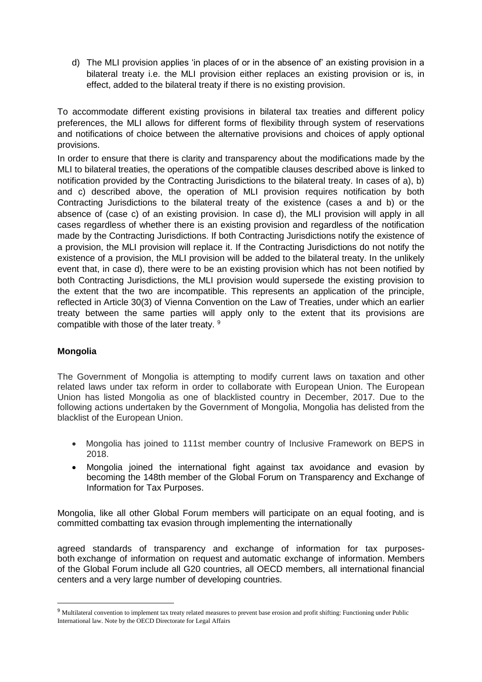d) The MLI provision applies 'in places of or in the absence of' an existing provision in a bilateral treaty i.e. the MLI provision either replaces an existing provision or is, in effect, added to the bilateral treaty if there is no existing provision.

To accommodate different existing provisions in bilateral tax treaties and different policy preferences, the MLI allows for different forms of flexibility through system of reservations and notifications of choice between the alternative provisions and choices of apply optional provisions.

In order to ensure that there is clarity and transparency about the modifications made by the MLI to bilateral treaties, the operations of the compatible clauses described above is linked to notification provided by the Contracting Jurisdictions to the bilateral treaty. In cases of a), b) and c) described above, the operation of MLI provision requires notification by both Contracting Jurisdictions to the bilateral treaty of the existence (cases a and b) or the absence of (case c) of an existing provision. In case d), the MLI provision will apply in all cases regardless of whether there is an existing provision and regardless of the notification made by the Contracting Jurisdictions. If both Contracting Jurisdictions notify the existence of a provision, the MLI provision will replace it. If the Contracting Jurisdictions do not notify the existence of a provision, the MLI provision will be added to the bilateral treaty. In the unlikely event that, in case d), there were to be an existing provision which has not been notified by both Contracting Jurisdictions, the MLI provision would supersede the existing provision to the extent that the two are incompatible. This represents an application of the principle, reflected in Article 30(3) of Vienna Convention on the Law of Treaties, under which an earlier treaty between the same parties will apply only to the extent that its provisions are compatible with those of the later treaty. <sup>9</sup>

# **Mongolia**

 $\overline{\phantom{a}}$ 

The Government of Mongolia is attempting to modify current laws on taxation and other related laws under tax reform in order to collaborate with European Union. The European Union has listed Mongolia as one of blacklisted country in December, 2017. Due to the following actions undertaken by the Government of Mongolia, Mongolia has delisted from the blacklist of the European Union.

- Mongolia has joined to 111st member country of Inclusive Framework on BEPS in 2018.
- Mongolia joined the international fight against tax avoidance and evasion by becoming the 148th member of the Global Forum on Transparency and Exchange of Information for Tax Purposes.

Mongolia, like all other Global Forum members will participate on an equal footing, and is committed combatting tax evasion through implementing the internationally

agreed standards of transparency and exchange of information for tax purposesboth [exchange of information on request](http://www.oecd.org/tax/transparency/exchange-of-information-on-request/) and [automatic exchange of information.](http://www.oecd.org/tax/automatic-exchange/) [Members](http://www.oecd.org/tax/transparency/about-the-global-forum/members/)  [of the Global Forum](http://www.oecd.org/tax/transparency/about-the-global-forum/members/) include all G20 countries, all OECD members, all international financial centers and a very large number of developing countries.

<sup>&</sup>lt;sup>9</sup> Multilateral convention to implement tax treaty related measures to prevent base erosion and profit shifting: Functioning under Public International law. Note by the OECD Directorate for Legal Affairs